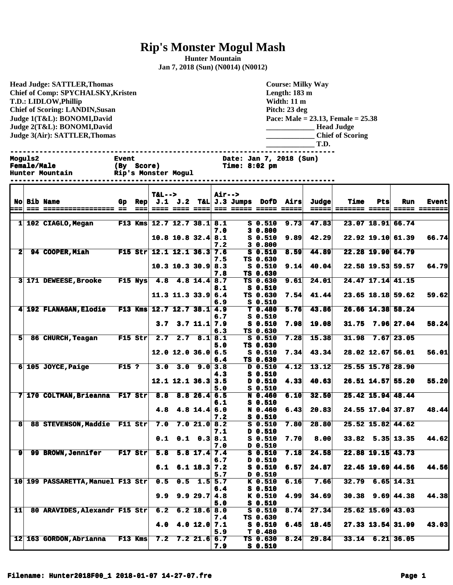## **Rip's Monster Mogul Mash**

**Hunter Mountain Jan 7, 2018 (Sun) (N0014) (N0012)**

**Head Judge: SATTLER,Thomas Chief of Comp: SPYCHALSKY,Kristen T.D.: LIDLOW,Phillip Chief of Scoring: LANDIN,Susan Judge 1(T&L): BONOMI,David Judge 2(T&L): BONOMI,David Judge 3(Air): SATTLER,Thomas** 

**Course: Milky Way Length: 183 m Width: 11 m Pitch: 23 deg Pace: Male = 23.13, Female = 25.38 \_\_\_\_\_\_\_\_\_\_\_\_\_ Head Judge \_\_\_\_\_\_\_\_\_\_\_\_\_ Chief of Scoring \_\_\_\_\_\_\_\_\_\_\_\_\_ T.D. ------------------------------------------------------------------------------ Fime: 8:02 pm** 

| <b>Moguls2</b>         | <b>Event</b>        | Date: Jan 7, 2018 (Sun) |
|------------------------|---------------------|-------------------------|
| <b>Female/Male</b>     | (By Score)          | $Time: 8:02$ $pm$       |
| <b>Hunter Mountain</b> | Rip's Monster Mogul |                         |

|              |  |                                                   |                          |        | <b>T&amp;L--&gt;</b>                                             |                                      |                   | <b>Air--&gt;</b> |                             |                              |      |              |                      |     |                        |                      |
|--------------|--|---------------------------------------------------|--------------------------|--------|------------------------------------------------------------------|--------------------------------------|-------------------|------------------|-----------------------------|------------------------------|------|--------------|----------------------|-----|------------------------|----------------------|
|              |  | <b>No Bib Name</b>                                |                          | Gp Rep |                                                                  |                                      |                   |                  | $J.1$ $J.2$ T&L $J.3$ Jumps | DofD                         | Airs | <b>Judge</b> | Time                 | Pts | Run                    | <b>Event</b>         |
| ===          |  | <b>222 22222222222222222 22</b>                   |                          | $==$   |                                                                  | <b>==== ==== ====</b>                |                   |                  |                             | <b>222 22222 22222 22222</b> |      | $= 2222$     | <b>======= =====</b> |     |                        | <b>SESSE ESSESSE</b> |
|              |  |                                                   |                          |        |                                                                  |                                      |                   |                  |                             |                              |      |              |                      |     |                        |                      |
|              |  | 1 102 CIAGLO, Megan                               |                          |        | F13 Kms 12.7 12.7 38.1 8.1                                       |                                      |                   | 7.0              |                             | <b>S</b> 0.510               | 9.73 | 47.83        |                      |     | 23.07 18.91 66.74      |                      |
|              |  |                                                   |                          |        |                                                                  | $10.8$ 10.8 32.4 8.1                 |                   |                  |                             | 30.800<br>$S_0.510$          | 9.89 | 42.29        |                      |     | $22.92$ 19.10 61.39    | 66.74                |
|              |  |                                                   |                          |        |                                                                  |                                      |                   | 7.2              |                             | 30.800                       |      |              |                      |     |                        |                      |
| $\mathbf{2}$ |  | <b>94 COOPER, Miah</b>                            |                          |        | $F15 \text{ Str } 12.1 \text{ } 12.1 \text{ } 36.3 \text{ } 7.6$ |                                      |                   |                  |                             | $S_0.510$                    | 8.59 | 44.89        |                      |     | 22.28 19.90 64.79      |                      |
|              |  |                                                   |                          |        |                                                                  |                                      |                   | 7.5              |                             | TS 0.630                     |      |              |                      |     |                        |                      |
|              |  |                                                   |                          |        |                                                                  | $10.3$ 10.3 30.9 8.3                 |                   |                  |                             | $S_0.510$                    | 9.14 | 40.04        |                      |     | 22.58 19.53 59.57      | 64.79                |
|              |  |                                                   |                          |        |                                                                  |                                      |                   | 7.8              |                             | TS 0.630                     |      |              |                      |     |                        |                      |
|              |  | 3 171 DEWEESE, Brooke                             |                          |        | F15 Nys 4.8 4.8 14.4 8.7                                         |                                      |                   |                  |                             | TS 0.630                     | 9.61 | 24.01        |                      |     | 24.47 17.14 41.15      |                      |
|              |  |                                                   |                          |        |                                                                  |                                      |                   | 8.1              |                             | S 0.510                      |      |              |                      |     |                        |                      |
|              |  |                                                   |                          |        |                                                                  | $11.3$ $11.3$ $33.9$ $6.4$           |                   |                  |                             | TS 0.630                     | 7.54 | 41.44        |                      |     | 23.65 18.18 59.62      | 59.62                |
|              |  |                                                   |                          |        |                                                                  |                                      |                   | 6.9              |                             | $S_0.510$                    |      |              |                      |     |                        |                      |
|              |  | 4 192 FLANAGAN, Elodie F13 Kms 12.7 12.7 38.1 4.9 |                          |        |                                                                  |                                      |                   |                  |                             | T <sub>0.480</sub>           | 5.76 | 43.86        |                      |     | 26.66 14.38 58.24      |                      |
|              |  |                                                   |                          |        |                                                                  |                                      |                   | 6.7              |                             | $S_0.510$<br>$S$ 0.510       |      | 19.08        |                      |     | $31.75$ 7.96 27.04     | 58.24                |
|              |  |                                                   |                          |        |                                                                  | $3.7$ $3.7$ $11.1$ $7.9$             |                   | 6.3              |                             | TS 0.630                     | 7.98 |              |                      |     |                        |                      |
| 5            |  | 86 CHURCH, Teagan                                 | $\boxed{\text{F15 str}}$ |        |                                                                  | $2.7$ $2.7$ $8.1$ $8.1$              |                   |                  |                             | S 0.510                      | 7.28 | 15.38        | 31.98                |     | 7.67 23.05             |                      |
|              |  |                                                   |                          |        |                                                                  |                                      |                   | 5.0              |                             | TS 0.630                     |      |              |                      |     |                        |                      |
|              |  |                                                   |                          |        |                                                                  | $12.0$ 12.0 36.0 6.5                 |                   |                  |                             | $S_0.510$                    | 7.34 | 43.34        |                      |     | 28.02 12.67 56.01      | 56.01                |
|              |  |                                                   |                          |        |                                                                  |                                      |                   | 6.4              |                             | TS 0.630                     |      |              |                      |     |                        |                      |
|              |  | $6 105$ JOYCE, Paige                              | $F15$ ?                  |        | 3.0                                                              |                                      | $3.0$ $9.0$ $3.8$ |                  |                             | D 0.510                      | 4.12 | 13.12        |                      |     | 25.55 15.78 28.90      |                      |
|              |  |                                                   |                          |        |                                                                  |                                      |                   | 4.3              |                             | $S_0.510$                    |      |              |                      |     |                        |                      |
|              |  |                                                   |                          |        |                                                                  | $12.1$ $12.1$ $36.3$ $3.5$           |                   |                  |                             | D 0.510                      | 4.33 | 40.63        |                      |     | 26.51 14.57 55.20      | 55.20                |
|              |  |                                                   |                          |        |                                                                  |                                      |                   | 5.0              |                             | $S_0.510$                    |      |              |                      |     |                        |                      |
|              |  | 7 170 COLTMAN, Brieanna F17 Str 8.8 8.8 26.4 6.5  |                          |        |                                                                  |                                      |                   |                  |                             | N 0.460                      | 6.10 | 32.50        |                      |     | $25.42$ 15.94 48.44    |                      |
|              |  |                                                   |                          |        |                                                                  |                                      |                   | 6.1              |                             | $S_0.510$                    |      |              |                      |     |                        |                      |
|              |  |                                                   |                          |        |                                                                  | 4.8 4.8 14.4 $6.0$                   |                   |                  |                             | N 0.460                      | 6.43 | 20.83        |                      |     | 24.55 17.04 37.87      | 48.44                |
| 8            |  | 88 STEVENSON, Maddie F11 Str                      |                          |        | 7.0                                                              |                                      | 7.021.08.2        | 7.2              |                             | $S_0.510$<br>$S_0.510$       | 7.80 | 28.80        |                      |     | 25.52 15.82 44.62      |                      |
|              |  |                                                   |                          |        |                                                                  |                                      |                   | 7.1              |                             | D 0.510                      |      |              |                      |     |                        |                      |
|              |  |                                                   |                          |        |                                                                  | $0.1$ $0.1$ $0.3$ $8.1$              |                   |                  |                             | $S_0.510$                    | 7.70 | 8.00         |                      |     | $33.82$ 5.35 13.35     | 44.62                |
|              |  |                                                   |                          |        |                                                                  |                                      |                   | 7.0              |                             | D 0.510                      |      |              |                      |     |                        |                      |
| $\mathbf{9}$ |  | 99 BROWN, Jennifer F17 Str                        |                          |        | 5.8                                                              |                                      | $5.8$ 17.4 7.4    |                  |                             | $S_0.510$                    | 7.18 | 24.58        |                      |     | $22.88$ 19.15 43.73    |                      |
|              |  |                                                   |                          |        |                                                                  |                                      |                   | 6.7              |                             | D 0.510                      |      |              |                      |     |                        |                      |
|              |  |                                                   |                          |        |                                                                  | $6.1 \quad 6.1 \quad 18.3 \quad 7.2$ |                   |                  |                             | $S_0.510$                    | 6.57 | 24.87        |                      |     | $22.45$ 19.69 44.56    | 44.56                |
|              |  |                                                   |                          |        |                                                                  |                                      |                   | 5.7              |                             | D 0.510                      |      |              |                      |     |                        |                      |
|              |  | 10 199 PASSARETTA, Manuel F13 Str 0.5             |                          |        |                                                                  |                                      | $0.5$ 1.5 $5.7$   |                  |                             | K 0.510                      | 6.16 | 7.66         |                      |     | $32.79$ 6.65 14.31     |                      |
|              |  |                                                   |                          |        |                                                                  |                                      |                   | 6.4              |                             | $S_0.510$                    |      |              |                      |     |                        |                      |
|              |  |                                                   |                          |        | 9.9                                                              |                                      | 9.929.74.8        |                  |                             | K 0.510                      | 4.99 | 34.69        |                      |     | $30.38$ $9.69$ $44.38$ | 44.38                |
|              |  |                                                   |                          |        |                                                                  |                                      |                   | 5.0              |                             | S 0.510                      |      |              |                      |     |                        |                      |
| 11           |  | 80 ARAVIDES, Alexandr F15 Str 6.2 6.2 18.6 8.0    |                          |        |                                                                  |                                      |                   | 7.4              |                             | $S_0.510$<br>TS 0.630        | 8.74 | 27.34        |                      |     | $25.62$ 15.69 43.03    |                      |
|              |  |                                                   |                          |        | 4.0                                                              |                                      | 4.0 12.0 7.1      |                  |                             | $S_0.510$                    | 6.45 | 18.45        |                      |     | $27.33$ 13.54 31.99    | 43.03                |
|              |  |                                                   |                          |        |                                                                  |                                      |                   | 5.9              |                             | T <sub>0.480</sub>           |      |              |                      |     |                        |                      |
|              |  | 12 163 GORDON, Abrianna F13 Kms                   |                          |        |                                                                  | $7.2$ $7.2$ $21.6$ 6.7               |                   |                  |                             | TS 0.630                     | 8,24 | 29.84        |                      |     | $33.14$ 6.21 36.05     |                      |
|              |  |                                                   |                          |        |                                                                  |                                      |                   | 7.9              |                             | $S_0.510$                    |      |              |                      |     |                        |                      |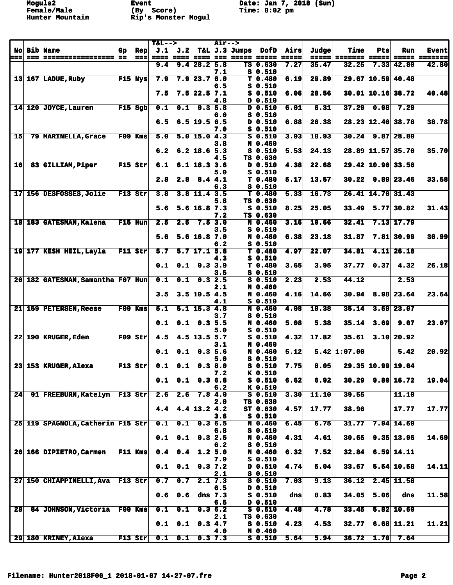**Moguls2 Event Date: Jan 7, 2018 (Sun)**<br> **Female/Male** (By Score) **Date: Jan 7, 2018 (Sun)** 

|                 |                                   |                |                            | <b>T&amp;L--&gt;</b> |     |                                  | <b>Air--&gt;</b>     |                 |                                 |               |       |                               |            |                      |                                |
|-----------------|-----------------------------------|----------------|----------------------------|----------------------|-----|----------------------------------|----------------------|-----------------|---------------------------------|---------------|-------|-------------------------------|------------|----------------------|--------------------------------|
|                 | <b>No Bib Name</b>                | Gp.            | <b>Rep</b>                 | J.1                  | J.2 | T&L                              |                      | J.3 Jumps       | DofD                            | Airs          | Judge | <b>Time</b>                   | Pts        | <b>Run</b>           | <b>Event</b>                   |
| ===             | === ================== ==         |                | $=$ $=$ $=$ $\blacksquare$ | 9.4                  |     | ==== ==== ====<br>9.428.25.8     |                      | 222 22322 22332 | TS 0.630                        | 22222<br>7.27 | 35.47 | =====  ======= =====<br>32.25 | 7.33       | 42.80                | ===== ====== <b>=</b><br>42.80 |
|                 |                                   |                |                            |                      |     |                                  | 7.1                  |                 | $S_0.510$                       |               |       |                               |            |                      |                                |
|                 | 13 167 LADUE, Ruby                |                | $F15$ Nys                  | 7.9                  |     | 7.923.76.0                       |                      |                 | T <sub>0.480</sub>              | 6.19          | 29.89 |                               |            | 29.67 10.59 40.48    |                                |
|                 |                                   |                |                            |                      |     |                                  | 6.5                  |                 | $S_0.510$                       |               |       |                               |            |                      |                                |
|                 |                                   |                |                            | 7.5                  |     | $7.5$ 22.5 $7.1$                 |                      |                 | $S$ 0.510                       | 6.06          | 28.56 |                               |            | $30.01$ 10.16 38.72  | 40.48                          |
|                 | 14 120 JOYCE, Lauren              |                | $F15$ Sgb                  | 0.1                  | 0.1 | 0.3                              | 4.8                  |                 | D 0.510<br>D 0.510              |               | 6.31  | 37.29                         | 0.98       | 7.29                 |                                |
|                 |                                   |                |                            |                      |     |                                  | 5.8<br>6.0           |                 | S 0.510                         | 6.01          |       |                               |            |                      |                                |
|                 |                                   |                |                            | 6.5                  |     | $6.5$ 19.5 6.5                   |                      |                 | D 0.510                         | 6.88          | 26.38 |                               |            | 28.23 12.40 38.78    | 38.78                          |
|                 |                                   |                |                            |                      |     |                                  | 7.0                  |                 | S 0.510                         |               |       |                               |            |                      |                                |
| 15              | 79 MARINELLA, Grace               |                | F09 Kms                    | 5.0                  |     | $5.0$ 15.0 4.3                   |                      |                 | $S_0.510$                       | 3.93          | 18.93 |                               |            | $30.24$ 9.87 28.80   |                                |
|                 |                                   |                |                            |                      |     |                                  | 3.8                  |                 | N 0.460                         |               |       |                               |            |                      |                                |
|                 |                                   |                |                            | 6.2                  |     | $6.2$ 18.6 5.3                   | 4.5                  |                 | $S_0.510$<br>TS 0.630           | 5.53          | 24.13 |                               |            | 28.89 11.57 35.70    | 35.70                          |
| 16              | 83 GILLIAM, Piper                 |                | $F15$ Str                  | 6.1                  |     | $6.1$ 18.3 3.6                   |                      |                 | D 0.510                         | 4.38          | 22.68 |                               |            | 29.42 10.90 33.58    |                                |
|                 |                                   |                |                            |                      |     |                                  | 5.0                  |                 | $S_0.510$                       |               |       |                               |            |                      |                                |
|                 |                                   |                |                            | 2.8                  |     | $2.8$ $8.4$ $4.1$                |                      |                 | T <sub>0.480</sub>              | 5.17          | 13.57 |                               |            | $30.22$ 9.89 23.46   | 33.58                          |
|                 |                                   |                |                            |                      |     |                                  | 6.3                  |                 | $S$ 0.510                       |               |       |                               |            |                      |                                |
|                 | 17 156 DESFOSSES, Jolie           |                | F13 Str                    | 3.8                  |     | $3.8 \; 11.4$                    | 3.5<br>5.8           |                 | T <sub>0.480</sub><br>TS 0.630  | 5.33          | 16.73 |                               |            | 26.41 14.70 31.43    |                                |
|                 |                                   |                |                            | 5.6                  |     | $5.6$ 16.8 7.3                   |                      |                 | $S$ 0.510                       | 8.25          | 25.05 | 33.49                         |            | 5.77 30.82           | 31.43                          |
|                 |                                   |                |                            |                      |     |                                  | 7.2                  |                 | TS 0.630                        |               |       |                               |            |                      |                                |
|                 | 18 183 GATESMAN, Kalena           |                | F15 Hun                    | 2.5                  | 2.5 |                                  | $7.5$ 3.0            |                 | N 0.460                         | 3.16          | 10.66 | 32.41                         |            | 7.13 17.79           |                                |
|                 |                                   |                |                            |                      |     |                                  | 3.5                  |                 | $S$ 0.510                       |               |       |                               |            |                      |                                |
|                 |                                   |                |                            | 5.6                  |     | $5.6$ 16.8 7.0                   | 6.2                  |                 | N 0.460                         | 6.38          | 23.18 | 31.87                         |            | $7.81$ 30.99         | 30.99                          |
|                 | 19 177 KESH HEIL, Layla           |                | F11 Str                    | 5.7                  |     | $5.7$ 17.1 $5.8$                 |                      |                 | $S$ 0.510<br>T <sub>0.480</sub> | 4.97          | 22.07 | 34.81                         |            | $4.11$ 26.18         |                                |
|                 |                                   |                |                            |                      |     |                                  | 4.3                  |                 | $S_0.510$                       |               |       |                               |            |                      |                                |
|                 |                                   |                |                            | 0.1                  |     | $0.1 \quad 0.3 \, 3.9$           |                      |                 | T <sub>0.480</sub>              | 3.65          | 3.95  | 37.77                         | 0.37       | 4.32                 | 26.18                          |
|                 |                                   |                |                            |                      |     |                                  | 3.5                  |                 | $S_0.510$                       |               |       |                               |            |                      |                                |
|                 | 20 182 GATESMAN, Samantha F07 Hun |                |                            | 0.1                  | 0.1 |                                  | $0.3$ 2.5            |                 | $S_0.510$                       | 2.23          | 2.53  | 44.12                         |            | 2.53                 |                                |
|                 |                                   |                |                            | 3.5                  |     | $3.5$ 10.5 4.5                   | 2.1                  |                 | N 0.460<br>N 0.460              | 4.16          | 14.66 |                               |            | $30.94$ 8.98 23.64   | 23.64                          |
|                 |                                   |                |                            |                      |     |                                  | 4.1                  |                 | $S_0.510$                       |               |       |                               |            |                      |                                |
|                 | 21 159 PETERSEN, Reese            |                | F09 Kms                    | 5.1                  |     | $5.1$ 15.3 4.8                   |                      |                 | N 0.460                         | 4.08          | 19.38 | 35.14                         | 3.69       | 23.07                |                                |
|                 |                                   |                |                            |                      |     |                                  | 3.7                  |                 | $S$ 0.510                       |               |       |                               |            |                      |                                |
|                 |                                   |                |                            | 0.1                  |     | $0.1 \quad 0.3 \, 5.5$           |                      |                 | N 0.460                         | 5.08          | 5.38  |                               | 35.14 3.69 | 9.07                 | 23.07                          |
|                 | 22 190 KRUGER, Eden               |                | $F09$ Str                  | 4.5                  |     | $4.5$ 13.5 5.7                   | 5.0                  |                 | $S$ 0.510<br>$S$ 0.510          | 4.32          | 17.82 | 35.61                         |            | $3.10$ 20.92         |                                |
|                 |                                   |                |                            |                      |     |                                  | 3.1                  |                 | N 0.460                         |               |       |                               |            |                      |                                |
|                 |                                   |                |                            | 0.1                  | 0.1 | 0.3                              | 5.6                  |                 | N 0.460                         | 5.12          |       | $5.42 \mid 1:07.00$           |            | 5.42                 | 20.92                          |
|                 |                                   |                |                            |                      |     |                                  | 5.0                  |                 | $S_0.510$                       |               |       |                               |            |                      |                                |
|                 | 23 153 KRUGER, Alexa              |                | $F13$ Str                  | 0.1                  | 0.1 |                                  | 0.38.0               |                 | $S_0.510$                       | 7.75          | 8.05  |                               |            | 29.35 10.99 19.04    |                                |
|                 |                                   |                |                            |                      |     | $0.1 \quad 0.1 \quad 0.3 \, 6.8$ | 7.2                  |                 | K 0.510<br>$S_0.510$            | 6.62          | 6.92  |                               |            | $30.29$ $9.80$ 16.72 | 19.04                          |
|                 |                                   |                |                            |                      |     |                                  | 6.2                  |                 | K 0.510                         |               |       |                               |            |                      |                                |
| 24              | 91 FREEBURN, Katelyn F13 Str      |                |                            |                      |     | $2.6$ $2.6$ $7.8$ $4.0$          |                      |                 | $S$ 0.510                       | 3.30          | 11.10 | 39.55                         |            | 11.10                |                                |
|                 |                                   |                |                            |                      |     |                                  | 2.0                  |                 | TS 0.630                        |               |       |                               |            |                      |                                |
|                 |                                   |                |                            | 4.4                  |     | $4.4$ 13.2 4.2                   |                      |                 | ST 0.630                        | 4.57          | 17.77 | 38.96                         |            | 17.77                | 17.77                          |
|                 | 25 119 SPAGNOLA, Catherin F15 Str |                |                            | 0.1                  |     | $0.1 \quad 0.3 \, 6.5$           | 3.8                  |                 | $S_0.510$<br>N 0.460            | 6.45          | 6.75  | 31.77                         |            | $7.94$ 14.69         |                                |
|                 |                                   |                |                            |                      |     |                                  | 6.8                  |                 | $S_0.510$                       |               |       |                               |            |                      |                                |
|                 |                                   |                |                            | 0.1                  |     | $0.1 \quad 0.3   2.5$            |                      |                 | N 0.460                         | 4.31          | 4.61  |                               |            | $30.65$ $9.35$ 13.96 | 14.69                          |
|                 |                                   |                |                            |                      |     |                                  | 6.2                  |                 | $S_0.510$                       |               |       |                               |            |                      |                                |
|                 | 26 166 DIPIETRO, Carmen           | <b>F11 Kms</b> |                            | 0.4                  | 0.4 |                                  | $1.2$ 5.0            |                 | $N$ 0.460                       | 6.32          | 7.52  | 32.84                         |            | $6.59$ 14.11         |                                |
|                 |                                   |                |                            | 0.1                  |     | $0.1 \quad 0.3 \mid 7.2$         | 7.9                  |                 | $S_0.510$<br>D 0.510            | 4.74          | 5.04  | 33.67                         |            | 5.54 10.58           | 14.11                          |
|                 |                                   |                |                            |                      |     |                                  | 2.1                  |                 | $S$ 0.510                       |               |       |                               |            |                      |                                |
|                 | 27 150 CHIAPPINELLI, Ava F13 Str  |                |                            | 0.7                  |     | $0.7$ 2.1 7.3                    |                      |                 | $S_0.510$                       | 7.03          | 9.13  | 36.12                         |            | $2.45$ 11.58         |                                |
|                 |                                   |                |                            |                      |     |                                  | 6.5                  |                 | D 0.510                         |               |       |                               |            |                      |                                |
|                 |                                   |                |                            | 0.6                  |     | $0.6$ dns $7.3$                  |                      |                 | $S$ 0.510                       | dns           | 8.83  |                               | 34.05 5.06 | dns                  | 11.58                          |
| 28 <sup>1</sup> | 84 JOHNSON, Victoria F09 Kms      |                |                            | 0.1                  |     | $0.1 \quad 0.3 \, 6.2$           | 6.5                  |                 | D 0.510<br>$S_0.510$            | 4.48          | 4.78  | 33.45                         |            | 5.82 10.60           |                                |
|                 |                                   |                |                            |                      |     |                                  | 2.1                  |                 | TS 0.630                        |               |       |                               |            |                      |                                |
|                 |                                   |                |                            | 0.1                  |     | $0.1 \quad 0.3 \, 4.7$           |                      |                 | $S_0.510$                       | 4.23          | 4.53  | 32.77                         |            | $6.68$ 11.21         | 11.21                          |
|                 |                                   |                |                            |                      |     |                                  | 4.0                  |                 | N 0.460                         |               |       |                               |            |                      |                                |
|                 | 29 180 KRINEY, Alexa              |                | F13 Str                    | 0.1                  | 0.1 |                                  | $0.3 \overline{7.3}$ |                 | $S_0.510$                       | 5.64          | 5.94  | 36.72                         | 1.70       | 7.64                 |                                |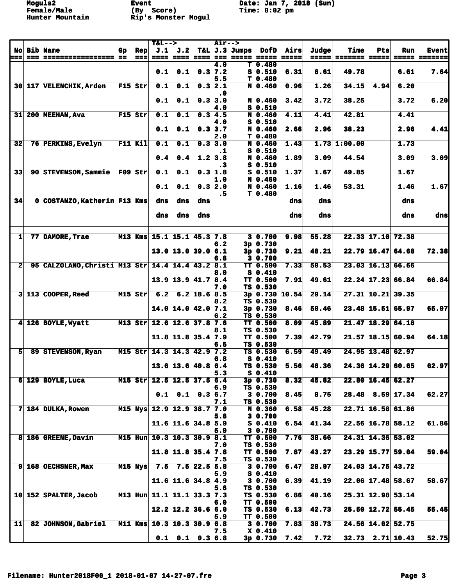**Moguls2 Event Date: Jan 7, 2018 (Sun)**<br> **Female/Male** (By Score) **Date: Jan 7, 2018 (Sun)** 

|                 |                                                  |    |                            | <b>T&amp;L--&gt;</b> |                              |                          | <b>Air--&gt;</b> |                              |                             |                     |       |                |               |                      |                            |
|-----------------|--------------------------------------------------|----|----------------------------|----------------------|------------------------------|--------------------------|------------------|------------------------------|-----------------------------|---------------------|-------|----------------|---------------|----------------------|----------------------------|
| <b>No</b>       | <b>Bib Name</b>                                  | Gp | <b>Rep</b>                 |                      | $J.1$ $J.2$                  |                          |                  | T&L $J.3$ Jumps              | DofD                        | Airs                | Judge | <b>Time</b>    | Pts           | Run                  | <b>Event</b>               |
| ===             | === ================== ==                        |    | $=$ $=$ $=$ $\blacksquare$ |                      | ==== ==== ====               |                          | 4.0              | <b>222 22222 22222 22222</b> | $T_0.480$                   |                     |       |                |               |                      | <b>ESSES SESSESS</b>       |
|                 |                                                  |    |                            | 0.1                  |                              | $0.1 \quad 0.3 \mid 7.2$ |                  |                              | $S_0.510$                   | 6.31                | 6.61  | 49.78          |               | 6.61                 | 7.64                       |
|                 |                                                  |    |                            |                      |                              |                          | 5.5              |                              | T 0.480                     |                     |       |                |               |                      |                            |
|                 | 30 117 VELENCHIK, Arden                          |    | $F15$ Str                  | 0.1                  | 0.1                          | 0.3                      | 2.1              |                              | N 0.460                     | 0.96                | 1.26  | 34.15          | 4.94          | 6.20                 |                            |
|                 |                                                  |    |                            |                      |                              |                          | $\cdot$ 0        |                              |                             |                     |       |                |               |                      |                            |
|                 |                                                  |    |                            | 0.1                  |                              | $0.1 \quad 0.3$          | 3.0              |                              | N 0.460                     | 3.42                | 3.72  | 38.25          |               | 3.72                 | 6.20                       |
|                 |                                                  |    |                            |                      |                              |                          | 4.0              |                              | $S_0.510$                   |                     |       |                |               |                      |                            |
| 31              | <b>200 MEEHAN, Ava</b>                           |    | F15 Str                    | 0.1                  | 0.1                          |                          | 0.34.5           |                              | N 0.460<br>$S_0.510$        | 4.11                | 4.41  | 42.81          |               | 4.41                 |                            |
|                 |                                                  |    |                            | 0.1                  |                              | $0.1 \quad 0.3 \, 3.7$   | 4.0              |                              | N 0.460                     | 2.66                | 2.96  | 38.23          |               | 2.96                 | 4.41                       |
|                 |                                                  |    |                            |                      |                              |                          | 2.0              |                              | T 0.480                     |                     |       |                |               |                      |                            |
| 32              | 76 PERKINS, Evelyn                               |    | <b>F11 Kil</b>             | 0.1                  | $\overline{\mathbf{0.1}}$    | 0.3                      | 3.0              |                              | N 0.460                     | 1.43                |       | $1.73$ 1:00.00 |               | 1.73                 |                            |
|                 |                                                  |    |                            |                      |                              |                          | $\cdot$ 1        |                              | $S_0.510$                   |                     |       |                |               |                      |                            |
|                 |                                                  |    |                            | 0.4                  |                              | $0.4$ 1.2                | 3.8              |                              | N 0.460                     | 1.89                | 3.09  | 44.54          |               | 3.09                 | 3.09                       |
|                 |                                                  |    |                            |                      |                              |                          | .3               |                              | $S$ 0.510                   |                     |       |                |               |                      |                            |
| $\overline{33}$ | 90 STEVENSON, Sammie F09 Str                     |    |                            | 0.1                  | $\overline{\mathbf{0.1}}$    | 0.3                      | 1.8<br>1.0       |                              | $S$ 0.510<br>N 0.460        | 1.37                | 1.67  | 49.85          |               | 1.67                 |                            |
|                 |                                                  |    |                            | 0.1                  |                              | $0.1 \quad 0.3 \, 2.0$   |                  |                              | N 0.460                     | 1.16                | 1.46  | 53.31          |               | 1.46                 | 1.67                       |
|                 |                                                  |    |                            |                      |                              |                          | $\cdot$ 5        |                              | T 0.480                     |                     |       |                |               |                      |                            |
| 34              | 0 COSTANZO, Katherin F13 Kms                     |    |                            | dns                  | dns                          | dns                      |                  |                              |                             | dns                 | dns   |                |               | dns                  |                            |
|                 |                                                  |    |                            |                      |                              |                          |                  |                              |                             |                     |       |                |               |                      |                            |
|                 |                                                  |    |                            | dns                  | dns                          | dns                      |                  |                              |                             | dns                 | dns   |                |               | dns                  | dns                        |
|                 |                                                  |    |                            |                      |                              |                          |                  |                              |                             |                     |       |                |               |                      |                            |
| 1               | 77 DAMORE, Trae                                  |    |                            |                      | M13 Kms 15.1 15.1 45.3 7.8   |                          |                  |                              | 3 0.700                     | 9.98                | 55.28 |                |               | 22.33 17.10 72.38    |                            |
|                 |                                                  |    |                            |                      |                              |                          | 6.2              |                              | 3p 0.730                    |                     |       |                |               |                      |                            |
|                 |                                                  |    |                            |                      | $13.0$ $13.0$ $39.0$         |                          | 6.1              |                              | $3p \ 0.730$                | 9.21                | 48.21 |                |               | $22.79$ 16.47 64.68  | 72.38                      |
|                 |                                                  |    |                            |                      |                              |                          | 6.8              |                              | 3 0.700                     |                     |       |                |               |                      |                            |
| $\overline{2}$  | 95 CALZOLANO, Christi M13 Str 14.4 14.4 43.2 8.1 |    |                            |                      |                              |                          |                  |                              | <b>TT 0.500</b>             | 7.33                | 50.53 |                |               | $23.03$ 16.13 66.66  |                            |
|                 |                                                  |    |                            |                      |                              |                          | 8.0              |                              | $S_0.410$                   |                     |       |                |               |                      |                            |
|                 |                                                  |    |                            |                      | 13.9 13.9 41.7 8.4           |                          | 7.0              |                              | <b>TT 0.500</b><br>TS 0.530 | 7.91                | 49.61 |                | $22.24$ 17.23 | 66.84                | 66.84                      |
|                 | 3 113 COOPER, Reed                               |    | $M15$ Str                  | 6.2                  |                              | $6.2$ 18.6 8.5           |                  |                              |                             | 3p 0.730 10.54      | 29.14 |                | 27.31 10.21   | 39.35                |                            |
|                 |                                                  |    |                            |                      |                              |                          | 8.2              |                              | TS 0.530                    |                     |       |                |               |                      |                            |
|                 |                                                  |    |                            |                      | $14.0$ 14.0 $42.0$ 7.1       |                          |                  |                              | 3p 0.730                    | 8.46                | 50.46 |                |               | 23.48 15.51 65.97    | 65.97                      |
|                 |                                                  |    |                            |                      |                              |                          | 6.2              |                              | TS 0.530                    |                     |       |                |               |                      |                            |
|                 | 4 126 BOYLE, Wyatt                               |    |                            |                      | M13 Str 12.6 12.6 37.8 7.6   |                          |                  |                              | <b>TT 0.500</b>             | 8.09                | 45.89 |                | 21.47 18.29   | 64.18                |                            |
|                 |                                                  |    |                            |                      | $11.8$ 11.8 35.4 7.9         |                          | 8.1              |                              | TS 0.530<br>TT 0.500        |                     | 42.79 |                |               | 21.57 18.15 60.94    | 64.18                      |
|                 |                                                  |    |                            |                      |                              |                          | 6.5              |                              | TS 0.530                    | 7.39                |       |                |               |                      |                            |
| 5               | 89 STEVENSON, Ryan                               |    |                            |                      | M15 Str $14.3$ 14.3 42.9     |                          | 7.2              |                              | TS 0.530                    | 6.59                | 49.49 |                |               | 24.95 13.48 62.97    |                            |
|                 |                                                  |    |                            |                      |                              |                          | 6.8              |                              | $S_0.410$                   |                     |       |                |               |                      |                            |
|                 |                                                  |    |                            |                      | $13.6$ 13.6 40.8 6.4         |                          |                  |                              | TS 0.530                    | 5.56                | 46.36 |                |               | 24.36 14.29 60.65    | 62.97                      |
|                 |                                                  |    |                            |                      |                              |                          | 5.3              |                              | S 0.410                     |                     |       |                |               |                      |                            |
|                 | $6 129$ BOYLE, Luca                              |    |                            |                      | M15 Str $12.5$ 12.5 37.5 6.4 |                          | 6.9              |                              | $3p$ 0.730<br>TS 0.530      | 8.32                | 45.82 |                |               | $22.80$ 16.45 62.27  |                            |
|                 |                                                  |    |                            |                      | $0.1$ $0.1$ $0.3$ $6.7$      |                          |                  |                              | 30.700                      | 8.45                | 8.75  |                |               | $28.48$ $8.59$ 17.34 | 62.27                      |
|                 |                                                  |    |                            |                      |                              |                          | 7.1              |                              | TS 0.530                    |                     |       |                |               |                      |                            |
|                 | 7 184 DULKA, Rowen                               |    |                            |                      | M15 Nys 12.9 12.9 38.7       |                          | 7.0              |                              | N 0.360                     | 6.58                | 45.28 |                |               | 22.71 16.58 61.86    |                            |
|                 |                                                  |    |                            |                      |                              |                          | 5.8              |                              | 3 0.700                     |                     |       |                |               |                      |                            |
|                 |                                                  |    |                            |                      | 11.6 11.6 34.8 $5.9$         |                          |                  |                              | $S_0.410$                   | 6.54                | 41.34 |                |               | $22.56$ 16.78 58.12  | 61.86                      |
|                 | 8 186 GREENE, Davin                              |    |                            |                      | M15 Hun 10.3 10.3 30.9 8.1   |                          | 5.9              |                              | 3 0.700<br><b>TT 0.500</b>  | 7.76                | 38.66 |                |               | 24.31 14.36 53.02    |                            |
|                 |                                                  |    |                            |                      |                              |                          | 7.0              |                              | TS 0.530                    |                     |       |                |               |                      |                            |
|                 |                                                  |    |                            |                      | $11.8$ 11.8 35.4 7.8         |                          |                  |                              | <b>TT 0.500</b>             | 7.87                | 43.27 |                |               | 23.29 15.77 59.04    | 59.04                      |
|                 |                                                  |    |                            |                      |                              |                          | 7.5              |                              | TS 0.530                    |                     |       |                |               |                      |                            |
|                 | 9 168 OECHSNER, Max                              |    |                            |                      | M15 Nys 7.5 7.5 22.5 5.8     |                          |                  |                              | 30.700                      | 6.47                | 28.97 |                |               | 24.03 14.75 43.72    |                            |
|                 |                                                  |    |                            |                      |                              |                          | 5.9              |                              | $S_0.410$                   |                     |       |                |               |                      |                            |
|                 |                                                  |    |                            |                      | 11.6 11.6 34.8 4.9           |                          | 5.6              |                              | 3 0.700<br>TS 0.530         | 6.39                | 41.19 |                |               | $22.06$ 17.48 58.67  | 58.67                      |
|                 | 10 152 SPALTER, Jacob                            |    |                            |                      | M13 Hun 11.1 11.1 33.3 7.3   |                          |                  |                              | TS 0.530                    | 6.86                | 40.16 |                |               | 25.31 12.98 53.14    |                            |
|                 |                                                  |    |                            |                      |                              |                          | 6.0              |                              | <b>TT 0.500</b>             |                     |       |                |               |                      |                            |
|                 |                                                  |    |                            |                      | $12.2$ 12.2 36.6 6.0         |                          |                  |                              | TS 0.530                    | 6.13                | 42.73 |                |               | $25.50$ 12.72 55.45  | 55.45                      |
|                 |                                                  |    |                            |                      |                              |                          | 5.9              |                              | <b>TT 0.500</b>             |                     |       |                |               |                      |                            |
| 11              | 82 JOHNSON, Gabriel                              |    |                            |                      | M11 Kms 10.3 10.3 30.9 6.8   |                          |                  |                              | 3 0.700                     | 7.83                | 38.73 |                |               | 24.56 14.02 52.75    |                            |
|                 |                                                  |    |                            |                      |                              |                          | 7.5              |                              | X 0.410                     |                     |       |                |               |                      |                            |
|                 |                                                  |    |                            |                      | $0.1$ $0.1$ $0.3$ $6.8$      |                          |                  |                              |                             | $3p \t0.730 \t7.42$ | 7.72  |                |               |                      | $32.73$ $2.71$ 10.43 52.75 |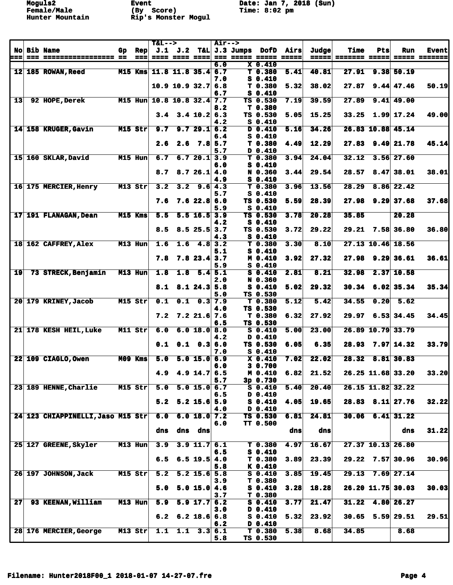**Moguls2 Event Date: Jan 7, 2018 (Sun)**<br> **Female/Male** (By Score) **Time: 8:02** pm

|                 |                                   |     |                 | <b>T&amp;L--&gt;</b>      |                       |                           | <b>Air--&gt;</b> |                              |                    |      |       |                      |      |                      |                      |
|-----------------|-----------------------------------|-----|-----------------|---------------------------|-----------------------|---------------------------|------------------|------------------------------|--------------------|------|-------|----------------------|------|----------------------|----------------------|
|                 | <b>No Bib Name</b>                | Gp. | <b>Rep</b>      |                           | $J.1$ $J.2$           |                           |                  | T&L J.3 Jumps                | DofD               | Airs | Judge | <b>Time</b>          | Pts  | Run                  | <b>Event</b>         |
|                 |                                   |     | $=$ $=$ $=$ $ $ |                           | <b>==== ==== ====</b> |                           |                  | <b>222 22222 22222 22222</b> |                    |      |       | =====  ======= ===== |      |                      | <b>===== =======</b> |
|                 |                                   |     |                 |                           |                       |                           | 6.0              |                              | $X$ 0.410          |      |       |                      |      |                      |                      |
|                 | 12 185 ROWAN, Reed                |     | M15 Kms         |                           | $11.8$ 11.8 35.4 6.7  |                           |                  |                              | T 0.380            | 5.41 | 40.81 | 27.91                |      | $9.38$ 50.19         |                      |
|                 |                                   |     |                 |                           |                       |                           | 7.0              |                              | $S_0.410$          |      |       |                      |      |                      |                      |
|                 |                                   |     |                 |                           | $10.9$ 10.9 32.7      |                           | 6.8              |                              | T <sub>0.380</sub> | 5.32 | 38.02 | 27.87                |      | $9.44$ 47.46         | 50.19                |
|                 |                                   |     |                 |                           |                       |                           | 6.7              |                              | $S_0.410$          |      |       |                      |      |                      |                      |
| 13              | 92 HOPE, Derek                    |     |                 | M15 Hun 10.8 10.8 32.4    |                       |                           | 7.7              |                              | TS 0.530           | 7.19 | 39.59 | 27.89                |      | $9.41$ 49.00         |                      |
|                 |                                   |     |                 |                           |                       |                           | 8.2              |                              | T 0.380            |      |       |                      |      |                      |                      |
|                 |                                   |     |                 |                           |                       |                           |                  |                              |                    |      |       |                      |      |                      |                      |
|                 |                                   |     |                 | 3.4                       |                       | $3.4$ 10.2 6.3            |                  |                              | TS 0.530           | 5.05 | 15.25 | 33.25                |      | $1.99$ 17.24         | 49.00                |
|                 |                                   |     |                 |                           |                       |                           | 4.2              |                              | $S_0.410$          |      |       |                      |      |                      |                      |
|                 | 14 158 KRUGER, Gavin              |     | M15 Str         | 9.7                       |                       | 9.729.16.2                |                  |                              | $D$ 0.410          | 5.16 | 34.26 |                      |      | 26.83 10.88 45.14    |                      |
|                 |                                   |     |                 |                           |                       |                           | 6.4              |                              | $S_0.410$          |      |       |                      |      |                      |                      |
|                 |                                   |     |                 | 2.6                       |                       | $2.6$ $7.8$ 5.7           |                  |                              | T <sub>0.380</sub> | 4.49 | 12.29 |                      |      | $27.83$ 9.49 21.78   | 45.14                |
|                 |                                   |     |                 |                           |                       |                           | 5.7              |                              | D 0.410            |      |       |                      |      |                      |                      |
|                 | 15 160 SKLAR, David               |     | M15 Hun         | 6.7                       |                       | 6.720.13.9                |                  |                              | T 0.380            | 3.94 | 24.04 | 32.12                |      | $3.56$ 27.60         |                      |
|                 |                                   |     |                 |                           |                       |                           | 6.0              |                              | $S_0.410$          |      |       |                      |      |                      |                      |
|                 |                                   |     |                 | 8.7                       |                       | 8.726.14.0                |                  |                              | N 0.360            | 3.44 | 29.54 | 28.57                |      | $8.47 \, 38.01$      | 38.01                |
|                 |                                   |     |                 |                           |                       |                           | 4.9              |                              | $S_0.410$          |      |       |                      |      |                      |                      |
|                 | 16 175 MERCIER, Henry             |     | M13 Str         | 3.2                       | 3.2                   |                           | 9.6 4.3          |                              | T 0.380            | 3.96 | 13.56 | 28.29                |      | $8.86$ 22.42         |                      |
|                 |                                   |     |                 |                           |                       |                           | 5.7              |                              | $S_0.410$          |      |       |                      |      |                      |                      |
|                 |                                   |     |                 |                           |                       |                           |                  |                              |                    |      | 28.39 | 27.98                | 9.29 |                      |                      |
|                 |                                   |     |                 | 7.6                       |                       | 7.622.86.0                |                  |                              | TS 0.530           | 5.59 |       |                      |      | 37.68                | 37.68                |
|                 |                                   |     |                 |                           |                       |                           | 5.9              |                              | $S_0.410$          |      |       |                      |      |                      |                      |
|                 | 17 191 FLANAGAN, Dean             |     | M15 Kms         | 5.5                       |                       | $\overline{5.5}$ 16.5 3.9 |                  |                              | TS 0.530           | 3.78 | 20.28 | 35.85                |      | 20.28                |                      |
|                 |                                   |     |                 |                           |                       |                           | 4.2              |                              | $S_0.410$          |      |       |                      |      |                      |                      |
|                 |                                   |     |                 | 8.5                       |                       | $8.5$ 25.5                | 3.7              |                              | TS 0.530           | 3.72 | 29.22 | 29.21                |      | 7.58 36.80           | 36.80                |
|                 |                                   |     |                 |                           |                       |                           | 4.3              |                              | $S_0.410$          |      |       |                      |      |                      |                      |
|                 | 18 162 CAFFREY, Alex              |     | M13 Hun         | 1.6                       | 1.6                   | 4.8                       | 3.2              |                              | T 0.380            | 3.30 | 8.10  |                      |      | 27.13 10.46 18.56    |                      |
|                 |                                   |     |                 |                           |                       |                           | 5.1              |                              | $S_0.410$          |      |       |                      |      |                      |                      |
|                 |                                   |     |                 | 7.8                       |                       | $7.8$ 23.4                | 3.7              |                              | M 0.410            | 3.92 | 27.32 | 27.98                |      | 9.29 36.61           | 36.61                |
|                 |                                   |     |                 |                           |                       |                           | 5.9              |                              | $S_0.410$          |      |       |                      |      |                      |                      |
| $\overline{19}$ | 73 STRECK, Benjamin               |     | M13 Hun         | 1.8                       |                       | $1.8$ 5.4 5.1             |                  |                              | $S_0.410$          | 2.81 | 8.21  | 32.98                |      | $2.37$ 10.58         |                      |
|                 |                                   |     |                 |                           |                       |                           | 2.0              |                              | N 0.360            |      |       |                      |      |                      |                      |
|                 |                                   |     |                 | 8.1                       |                       | $8.1$ 24.3 5.8            |                  |                              | $S_0.410$          |      | 29.32 | 30.34                |      | $6.02$ 35.34         | 35.34                |
|                 |                                   |     |                 |                           |                       |                           |                  |                              |                    | 5.02 |       |                      |      |                      |                      |
|                 |                                   |     |                 |                           |                       |                           | 5.0              |                              | TS 0.530           |      |       |                      |      |                      |                      |
|                 | 20 179 KRINEY, Jacob              |     | M15 Str         | $\overline{\mathbf{0.1}}$ |                       | $0.1 \quad 0.3$ 7.9       |                  |                              | T <sub>0.380</sub> | 5.12 | 5.42  | 34.55                | 0.20 | 5.62                 |                      |
|                 |                                   |     |                 |                           |                       |                           | 4.0              |                              | TS 0.530           |      |       |                      |      |                      |                      |
|                 |                                   |     |                 | 7.2                       |                       | $7.2$ 21.6 7.6            |                  |                              | T <sub>0.380</sub> | 6.32 | 27.92 | 29.97                |      | $6.53$ 34.45         | 34.45                |
|                 |                                   |     |                 |                           |                       |                           | 6.5              |                              | TS 0.530           |      |       |                      |      |                      |                      |
|                 | 21 178 KESH HEIL, Luke            |     | M11 Str         | 6.0                       |                       | 6.0 18.0                  | 8.0              |                              | $S_0.410$          | 5.00 | 23.00 |                      |      | 26.89 10.79 33.79    |                      |
|                 |                                   |     |                 |                           |                       |                           | 4.2              |                              | D 0.410            |      |       |                      |      |                      |                      |
|                 |                                   |     |                 | 0.1                       |                       | $0.1 \quad 0.360$         |                  |                              | TS 0.530           | 6.05 | 6.35  | 28.93                |      | 7.97 14.32           | 33.79                |
|                 |                                   |     |                 |                           |                       |                           | 7.0              |                              | $S_0.410$          |      |       |                      |      |                      |                      |
|                 | 22 109 CIAGLO, Owen               |     | M09 Kms         | 5.0                       |                       | 5.0 15.0                  | 6.9              |                              | $X_0.410$          | 7.02 | 22.02 | 28.32                |      | 8.81 30.83           |                      |
|                 |                                   |     |                 |                           |                       |                           | 6.0              |                              | 3 0.700            |      |       |                      |      |                      |                      |
|                 |                                   |     |                 | 4.9                       |                       | $4.9$ 14.7                | 6.5              |                              | M 0.410            | 6.82 | 21.52 |                      |      | 26.25 11.68 33.20    | 33.20                |
|                 |                                   |     |                 |                           |                       |                           | 5.7              |                              | 3p 0.730           |      |       |                      |      |                      |                      |
|                 | 23 189 HENNE, Charlie             |     | M15 Str         | 5.0                       |                       | 5.0 15.0                  | 6.7              |                              | $S$ 0.410          | 5.40 | 20.40 |                      |      | 26.15 11.82 32.22    |                      |
|                 |                                   |     |                 |                           |                       |                           | 6.5              |                              | D 0.410            |      |       |                      |      |                      |                      |
|                 |                                   |     |                 |                           |                       | $5.2$ 15.6 5.9            |                  |                              |                    |      | 19.65 |                      |      |                      |                      |
|                 |                                   |     |                 | 5.2                       |                       |                           |                  |                              | $S_0.410$          | 4.05 |       |                      |      | $28.83$ $8.11$ 27.76 | 32.22                |
|                 |                                   |     |                 |                           |                       |                           | 4.0              |                              | D 0.410            |      |       |                      |      |                      |                      |
|                 | 24 123 CHIAPPINELLI, Jaso M15 Str |     |                 | 6.0                       |                       | 6.0 18.0 7.2              |                  |                              | TS 0.530           | 6.81 | 24.81 | 30.06                |      | $6.41$ 31.22         |                      |
|                 |                                   |     |                 |                           |                       |                           | 6.0              |                              | TT 0.500           |      |       |                      |      |                      |                      |
|                 |                                   |     |                 | dns                       |                       | dns dns                   |                  |                              |                    | dns  | dns   |                      |      | dns                  | 31.22                |
|                 |                                   |     |                 |                           |                       |                           |                  |                              |                    |      |       |                      |      |                      |                      |
|                 | 25 127 GREENE, Skyler             |     | M13 Hun         | 3.9                       |                       | $3.9$ 11.7 6.1            |                  |                              | T 0.380            | 4.97 | 16.67 |                      |      | 27.37 10.13 26.80    |                      |
|                 |                                   |     |                 |                           |                       |                           | 6.5              |                              | $S_0.410$          |      |       |                      |      |                      |                      |
|                 |                                   |     |                 | 6.5                       |                       | $6.5$ 19.5 4.0            |                  |                              | T 0.380            | 3.89 | 23.39 |                      |      | $29.22$ 7.57 30.96   | 30.96                |
|                 |                                   |     |                 |                           |                       |                           | 5.8              |                              | K 0.410            |      |       |                      |      |                      |                      |
|                 | 26 197 JOHNSON, Jack              |     | M15 Str         | 5.2                       |                       | $5.2$ 15.6 5.8            |                  |                              | $S_0.410$          | 3.85 | 19.45 | 29.13                |      | $7.69$ 27.14         |                      |
|                 |                                   |     |                 |                           |                       |                           | 3.9              |                              | T 0.380            |      |       |                      |      |                      |                      |
|                 |                                   |     |                 | 5.0                       |                       | $5.0$ 15.0 4.6            |                  |                              | $S_0.410$          | 3.28 | 18.28 |                      |      | $26.20$ 11.75 30.03  | 30.03                |
|                 |                                   |     |                 |                           |                       |                           | 3.7              |                              | T <sub>0.380</sub> |      |       |                      |      |                      |                      |
|                 |                                   |     |                 |                           |                       |                           |                  |                              |                    |      |       |                      |      |                      |                      |
| 27 <sup>1</sup> | 93 KEENAN, William                |     | M13 Hun         | 5.9                       |                       | $5.9$ 17.7 6.2            |                  |                              | $S_0.410$          | 3.77 | 21.47 | 31.22                |      | $4.80$ 26.27         |                      |
|                 |                                   |     |                 |                           |                       |                           | 3.0              |                              | D 0.410            |      |       |                      |      |                      |                      |
|                 |                                   |     |                 | 6.2                       |                       | $6.2$ 18.6 6.8            |                  |                              | $S_0.410$          | 5.32 | 23.92 |                      |      | $30.65$ 5.59 29.51   | 29.51                |
|                 |                                   |     |                 |                           |                       |                           | 6.2              |                              | D 0.410            |      |       |                      |      |                      |                      |
|                 | 28 176 MERCIER, George            |     | $M13$ Str       | 1.1                       | 1.1                   |                           | 3.3 6.1          |                              | T 0.380            | 5.38 | 8.68  | 34.85                |      | 8.68                 |                      |
|                 |                                   |     |                 |                           |                       |                           | 5.8              |                              | TS 0.530           |      |       |                      |      |                      |                      |
|                 |                                   |     |                 |                           |                       |                           |                  |                              |                    |      |       |                      |      |                      |                      |